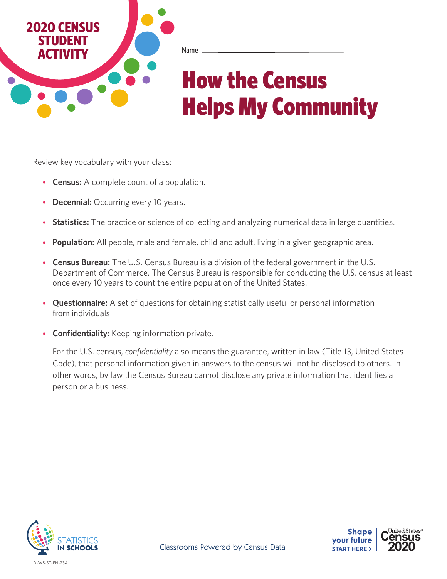

Name

# How the Census Helps My Community

Review key vocabulary with your class:

- **• Census:** A complete count of a population.
- **• Decennial:** Occurring every 10 years.
- **• Statistics:** The practice or science of collecting and analyzing numerical data in large quantities.
- **• Population:** All people, male and female, child and adult, living in a given geographic area.
- **• Census Bureau:** The U.S. Census Bureau is a division of the federal government in the U.S. Department of Commerce. The Census Bureau is responsible for conducting the U.S. census at least once every 10 years to count the entire population of the United States.
- **• Questionnaire:** A set of questions for obtaining statistically useful or personal information from individuals.
- **• Confidentiality:** Keeping information private.

For the U.S. census, *confidentiality* also means the guarantee, written in law (Title 13, United States Code), that personal information given in answers to the census will not be disclosed to others. In other words, by law the Census Bureau cannot disclose any private information that identifies a person or a business.



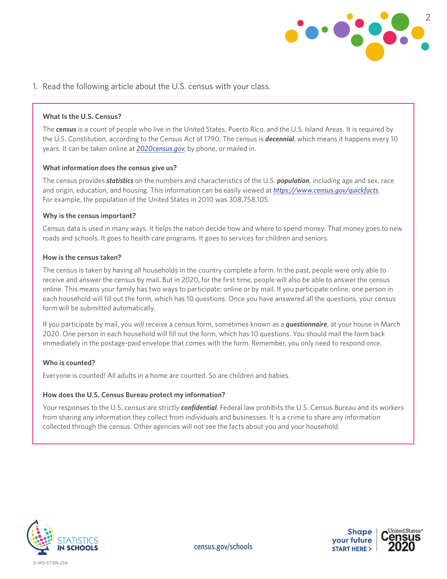

1. Read the following article about the U.S. census with your class.

#### **What Is the U.S. Census?**

The *census* is a count of people who live in the United States, Puerto Rico, and the U.S. Island Areas. It is required by the U.S. Constitution, according to the Census Act of 1790. The census is *decennial*, which means it happens every 10 years. It can be taken online at *[2020census.gov](http://www.2020census.gov)*, by phone, or mailed in.

#### **What information does the census give us?**

The census provides *statistics* on the numbers and characteristics of the U.S. *population*, including age and sex, race and origin, education, and housing. This information can be easily viewed at *<https://www.census.gov/quickfacts>*. For example, the population of the United States in 2010 was 308,758,105.

#### **Why is the census important?**

Census data is used in many ways. It helps the nation decide how and where to spend money. That money goes to new roads and schools. It goes to health care programs. It goes to services for children and seniors.

#### **How is the census taken?**

The census is taken by having all households in the country complete a form. In the past, people were only able to receive and answer the census by mail. But in 2020, for the first time, people will also be able to answer the census online. This means your family has two ways to participate: online or by mail. If you participate online, one person in each household will fill out the form, which has 10 questions. Once you have answered all the questions, your census form will be submitted automatically.

If you participate by mail, you will receive a census form, sometimes known as a *questionnaire*, at your house in March 2020. One person in each household will fill out the form, which has 10 questions. You should mail the form back immediately in the postage-paid envelope that comes with the form. Remember, you only need to respond *once*.

#### **Who is counted?**

Everyone is counted! All adults in a home are counted. So are children and babies.

#### **How does the U.S. Census Bureau protect my information?**

Your responses to the U.S. census are strictly *confidential*. Federal law prohibits the U.S. Census Bureau and its workers from sharing any information they collect from individuals and businesses. It is a crime to share any information collected through the census. Other agencies will not see the facts about you and your household.



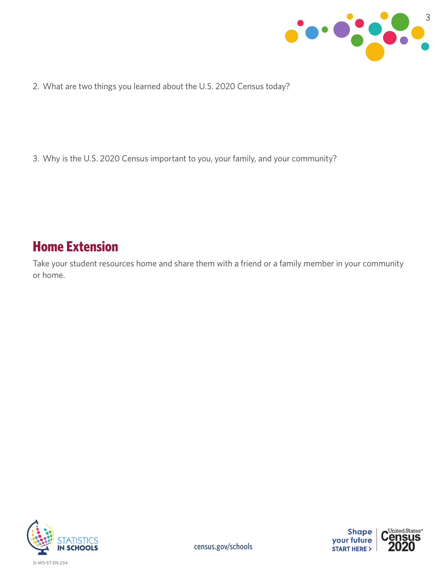

2. What are two things you learned about the U.S. 2020 Census today?

3. Why is the U.S. 2020 Census important to you, your family, and your community?

## **Home Extension**

Take your student resources home and share them with a friend or a family member in your community or home.